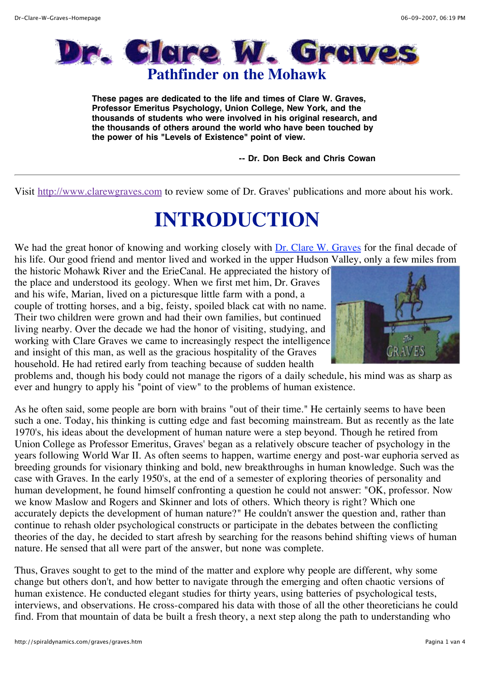

**These pages are dedicated to the life and times of Clare W. Graves, Professor Emeritus Psychology, Union College, New York, and the thousands of students who were involved in his original research, and the thousands of others around the world who have been touched by the power of his "Levels of Existence" point of view.**

**-- Dr. Don Beck and Chris Cowan**

Visit http://www.clarewgraves.com to review some of Dr. Graves' publications and more about his work.

## **INTRODUCTION**

We had the great honor of knowing and working closely with Dr. Clare W. Graves for the final decade of his life. Our good friend and mentor lived and worked in the upper Hudson Valley, only a few miles from

the historic Mohawk River and the ErieCanal. He appreciated the history of the place and understood its geology. When we first met him, Dr. Graves and his wife, Marian, lived on a picturesque little farm with a pond, a couple of trotting horses, and a big, feisty, spoiled black cat with no name. Their two children were grown and had their own families, but continued living nearby. Over the decade we had the honor of visiting, studying, and working with Clare Graves we came to increasingly respect the intelligence and insight of this man, as well as the gracious hospitality of the Graves household. He had retired early from teaching because of sudden health



problems and, though his body could not manage the rigors of a daily schedule, his mind was as sharp as ever and hungry to apply his "point of view" to the problems of human existence.

As he often said, some people are born with brains "out of their time." He certainly seems to have been such a one. Today, his thinking is cutting edge and fast becoming mainstream. But as recently as the late 1970's, his ideas about the development of human nature were a step beyond. Though he retired from Union College as Professor Emeritus, Graves' began as a relatively obscure teacher of psychology in the years following World War II. As often seems to happen, wartime energy and post-war euphoria served as breeding grounds for visionary thinking and bold, new breakthroughs in human knowledge. Such was the case with Graves. In the early 1950's, at the end of a semester of exploring theories of personality and human development, he found himself confronting a question he could not answer: "OK, professor. Now we know Maslow and Rogers and Skinner and lots of others. Which theory is right? Which one accurately depicts the development of human nature?" He couldn't answer the question and, rather than continue to rehash older psychological constructs or participate in the debates between the conflicting theories of the day, he decided to start afresh by searching for the reasons behind shifting views of human nature. He sensed that all were part of the answer, but none was complete.

Thus, Graves sought to get to the mind of the matter and explore why people are different, why some change but others don't, and how better to navigate through the emerging and often chaotic versions of human existence. He conducted elegant studies for thirty years, using batteries of psychological tests, interviews, and observations. He cross-compared his data with those of all the other theoreticians he could find. From that mountain of data be built a fresh theory, a next step along the path to understanding who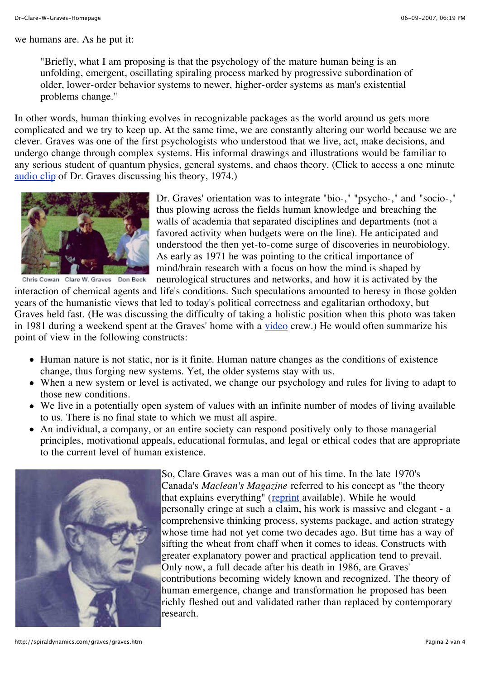we humans are. As he put it:

"Briefly, what I am proposing is that the psychology of the mature human being is an unfolding, emergent, oscillating spiraling process marked by progressive subordination of older, lower-order behavior systems to newer, higher-order systems as man's existential problems change."

In other words, human thinking evolves in recognizable packages as the world around us gets more complicated and we try to keep up. At the same time, we are constantly altering our world because we are clever. Graves was one of the first psychologists who understood that we live, act, make decisions, and undergo change through complex systems. His informal drawings and illustrations would be familiar to any serious student of quantum physics, general systems, and chaos theory. (Click to access a one minute audio clip of Dr. Graves discussing his theory, 1974.)



Chris Cowan Clare W. Graves Don Beck

Dr. Graves' orientation was to integrate "bio-," "psycho-," and "socio-," thus plowing across the fields human knowledge and breaching the walls of academia that separated disciplines and departments (not a favored activity when budgets were on the line). He anticipated and understood the then yet-to-come surge of discoveries in neurobiology. As early as 1971 he was pointing to the critical importance of mind/brain research with a focus on how the mind is shaped by neurological structures and networks, and how it is activated by the

interaction of chemical agents and life's conditions. Such speculations amounted to heresy in those golden years of the humanistic views that led to today's political correctness and egalitarian orthodoxy, but Graves held fast. (He was discussing the difficulty of taking a holistic position when this photo was taken in 1981 during a weekend spent at the Graves' home with a video crew.) He would often summarize his point of view in the following constructs:

- Human nature is not static, nor is it finite. Human nature changes as the conditions of existence change, thus forging new systems. Yet, the older systems stay with us.
- When a new system or level is activated, we change our psychology and rules for living to adapt to those new conditions.
- We live in a potentially open system of values with an infinite number of modes of living available to us. There is no final state to which we must all aspire.
- An individual, a company, or an entire society can respond positively only to those managerial principles, motivational appeals, educational formulas, and legal or ethical codes that are appropriate to the current level of human existence.



So, Clare Graves was a man out of his time. In the late 1970's Canada's *Maclean's Magazine* referred to his concept as "the theory that explains everything" (reprint available). While he would personally cringe at such a claim, his work is massive and elegant - a comprehensive thinking process, systems package, and action strategy whose time had not yet come two decades ago. But time has a way of sifting the wheat from chaff when it comes to ideas. Constructs with greater explanatory power and practical application tend to prevail. Only now, a full decade after his death in 1986, are Graves' contributions becoming widely known and recognized. The theory of human emergence, change and transformation he proposed has been richly fleshed out and validated rather than replaced by contemporary research.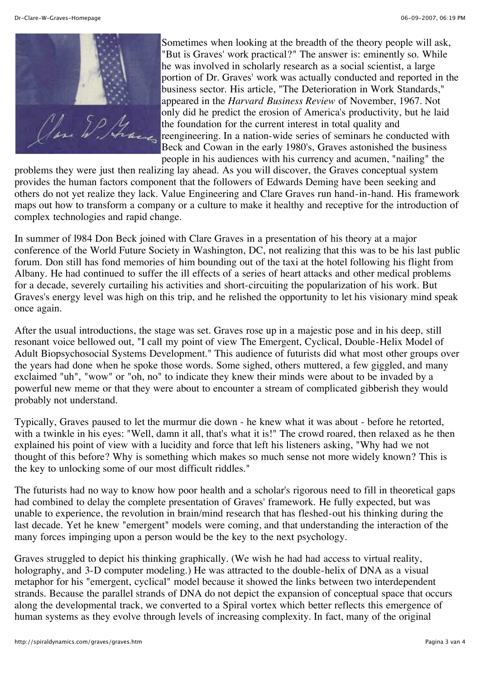

Sometimes when looking at the breadth of the theory people will ask, "But is Graves' work practical?" The answer is: eminently so. While he was involved in scholarly research as a social scientist, a large portion of Dr. Graves' work was actually conducted and reported in the business sector. His article, "The Deterioration in Work Standards," appeared in the *Harvard Business Review* of November, 1967. Not only did he predict the erosion of America's productivity, but he laid the foundation for the current interest in total quality and reengineering. In a nation-wide series of seminars he conducted with Beck and Cowan in the early 1980's, Graves astonished the business people in his audiences with his currency and acumen, "nailing" the

problems they were just then realizing lay ahead. As you will discover, the Graves conceptual system provides the human factors component that the followers of Edwards Deming have been seeking and others do not yet realize they lack. Value Engineering and Clare Graves run hand-in-hand. His framework maps out how to transform a company or a culture to make it healthy and receptive for the introduction of complex technologies and rapid change.

In summer of l984 Don Beck joined with Clare Graves in a presentation of his theory at a major conference of the World Future Society in Washington, DC, not realizing that this was to be his last public forum. Don still has fond memories of him bounding out of the taxi at the hotel following his flight from Albany. He had continued to suffer the ill effects of a series of heart attacks and other medical problems for a decade, severely curtailing his activities and short-circuiting the popularization of his work. But Graves's energy level was high on this trip, and he relished the opportunity to let his visionary mind speak once again.

After the usual introductions, the stage was set. Graves rose up in a majestic pose and in his deep, still resonant voice bellowed out, "I call my point of view The Emergent, Cyclical, Double-Helix Model of Adult Biopsychosocial Systems Development." This audience of futurists did what most other groups over the years had done when he spoke those words. Some sighed, others muttered, a few giggled, and many exclaimed "uh", "wow" or "oh, no" to indicate they knew their minds were about to be invaded by a powerful new meme or that they were about to encounter a stream of complicated gibberish they would probably not understand.

Typically, Graves paused to let the murmur die down - he knew what it was about - before he retorted, with a twinkle in his eyes: "Well, damn it all, that's what it is!" The crowd roared, then relaxed as he then explained his point of view with a lucidity and force that left his listeners asking, "Why had we not thought of this before? Why is something which makes so much sense not more widely known? This is the key to unlocking some of our most difficult riddles."

The futurists had no way to know how poor health and a scholar's rigorous need to fill in theoretical gaps had combined to delay the complete presentation of Graves' framework. He fully expected, but was unable to experience, the revolution in brain/mind research that has fleshed-out his thinking during the last decade. Yet he knew "emergent" models were coming, and that understanding the interaction of the many forces impinging upon a person would be the key to the next psychology.

Graves struggled to depict his thinking graphically. (We wish he had had access to virtual reality, holography, and 3-D computer modeling.) He was attracted to the double-helix of DNA as a visual metaphor for his "emergent, cyclical" model because it showed the links between two interdependent strands. Because the parallel strands of DNA do not depict the expansion of conceptual space that occurs along the developmental track, we converted to a Spiral vortex which better reflects this emergence of human systems as they evolve through levels of increasing complexity. In fact, many of the original